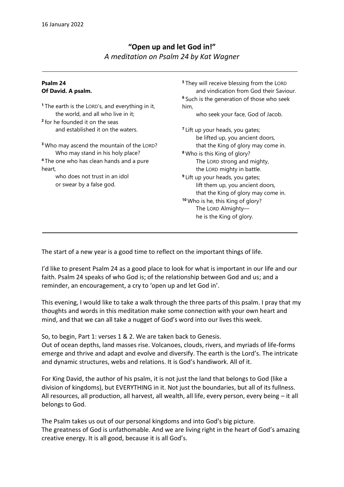## **"Open up and let God in!"** *A meditation on Psalm 24 by Kat Wagner*

## **Psalm 24 Of David. A psalm.**

**<sup>1</sup>** The earth is the LORD's, and everything in it, the world, and all who live in it; **2** for he founded it on the seas and established it on the waters.

**<sup>3</sup>** Who may ascend the mountain of the LORD? Who may stand in his holy place? **<sup>4</sup>** The one who has clean hands and a pure heart,

> who does not trust in an idol or swear by a false god.

**<sup>5</sup>** They will receive blessing from the LORD and vindication from God their Saviour. **<sup>6</sup>** Such is the generation of those who seek him,

who seek your face, God of Jacob.

**<sup>7</sup>** Lift up your heads, you gates; be lifted up, you ancient doors, that the King of glory may come in. **<sup>8</sup>** Who is this King of glory? The LORD strong and mighty,

 the LORD mighty in battle. **<sup>9</sup>** Lift up your heads, you gates; lift them up, you ancient doors, that the King of glory may come in. **<sup>10</sup>** Who is he, this King of glory? The LORD Almighty he is the King of glory.

The start of a new year is a good time to reflect on the important things of life.

I'd like to present Psalm 24 as a good place to look for what is important in our life and our faith. Psalm 24 speaks of who God is; of the relationship between God and us; and a reminder, an encouragement, a cry to 'open up and let God in'.

This evening, I would like to take a walk through the three parts of this psalm. I pray that my thoughts and words in this meditation make some connection with your own heart and mind, and that we can all take a nugget of God's word into our lives this week.

So, to begin, Part 1: verses 1 & 2. We are taken back to Genesis.

Out of ocean depths, land masses rise. Volcanoes, clouds, rivers, and myriads of life-forms emerge and thrive and adapt and evolve and diversify. The earth is the Lord's. The intricate and dynamic structures, webs and relations. It is God's handiwork. All of it.

For King David, the author of his psalm, it is not just the land that belongs to God (like a division of kingdoms), but EVERYTHING in it. Not just the boundaries, but all of its fullness. All resources, all production, all harvest, all wealth, all life, every person, every being – it all belongs to God.

The Psalm takes us out of our personal kingdoms and into God's big picture. The greatness of God is unfathomable. And we are living right in the heart of God's amazing creative energy. It is all good, because it is all God's.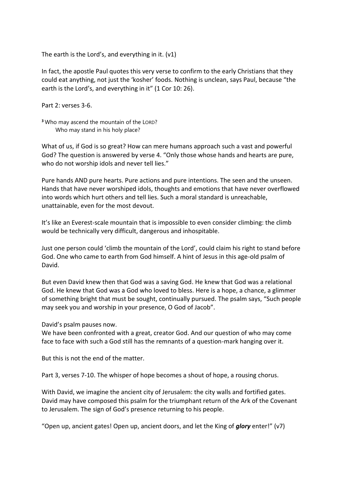The earth is the Lord's, and everything in it. (v1)

In fact, the apostle Paul quotes this very verse to confirm to the early Christians that they could eat anything, not just the 'kosher' foods. Nothing is unclean, says Paul, because "the earth is the Lord's, and everything in it" (1 Cor 10: 26).

Part 2: verses 3-6.

**<sup>3</sup>** Who may ascend the mountain of the LORD? Who may stand in his holy place?

What of us, if God is so great? How can mere humans approach such a vast and powerful God? The question is answered by verse 4. "Only those whose hands and hearts are pure, who do not worship idols and never tell lies."

Pure hands AND pure hearts. Pure actions and pure intentions. The seen and the unseen. Hands that have never worshiped idols, thoughts and emotions that have never overflowed into words which hurt others and tell lies. Such a moral standard is unreachable, unattainable, even for the most devout.

It's like an Everest-scale mountain that is impossible to even consider climbing: the climb would be technically very difficult, dangerous and inhospitable.

Just one person could 'climb the mountain of the Lord', could claim his right to stand before God. One who came to earth from God himself. A hint of Jesus in this age-old psalm of David.

But even David knew then that God was a saving God. He knew that God was a relational God. He knew that God was a God who loved to bless. Here is a hope, a chance, a glimmer of something bright that must be sought, continually pursued. The psalm says, "Such people may seek you and worship in your presence, O God of Jacob".

David's psalm pauses now.

We have been confronted with a great, creator God. And our question of who may come face to face with such a God still has the remnants of a question-mark hanging over it.

But this is not the end of the matter.

Part 3, verses 7-10. The whisper of hope becomes a shout of hope, a rousing chorus.

With David, we imagine the ancient city of Jerusalem: the city walls and fortified gates. David may have composed this psalm for the triumphant return of the Ark of the Covenant to Jerusalem. The sign of God's presence returning to his people.

"Open up, ancient gates! Open up, ancient doors, and let the King of *glory* enter!" (v7)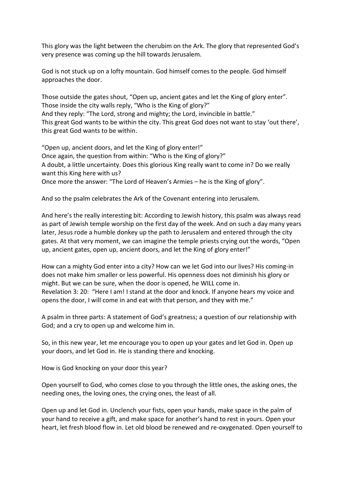This glory was the light between the cherubim on the Ark. The glory that represented God's very presence was coming up the hill towards Jerusalem.

God is not stuck up on a lofty mountain. God himself comes to the people. God himself approaches the door.

Those outside the gates shout, "Open up, ancient gates and let the King of glory enter". Those inside the city walls reply, "Who is the King of glory?" And they reply: "The Lord, strong and mighty; the Lord, invincible in battle." This great God wants to be within the city. This great God does not want to stay 'out there', this great God wants to be within.

"Open up, ancient doors, and let the King of glory enter!" Once again, the question from within: "Who is the King of glory?" A doubt, a little uncertainty. Does this glorious King really want to come in? Do we really want this King here with us? Once more the answer: "The Lord of Heaven's Armies – he is the King of glory".

And so the psalm celebrates the Ark of the Covenant entering into Jerusalem.

And here's the really interesting bit: According to Jewish history, this psalm was always read as part of Jewish temple worship on the first day of the week. And on such a day many years later, Jesus rode a humble donkey up the path to Jerusalem and entered through the city gates. At that very moment, we can imagine the temple priests crying out the words, "Open up, ancient gates, open up, ancient doors, and let the King of glory enter!"

How can a mighty God enter into a city? How can we let God into our lives? His coming-in does not make him smaller or less powerful. His openness does not diminish his glory or might. But we can be sure, when the door is opened, he WILL come in. Revelation 3: 20: "Here I am! I stand at the door and knock. If anyone hears my voice and opens the door, I will come in and eat with that person, and they with me."

A psalm in three parts: A statement of God's greatness; a question of our relationship with God; and a cry to open up and welcome him in.

So, in this new year, let me encourage you to open up your gates and let God in. Open up your doors, and let God in. He is standing there and knocking.

How is God knocking on your door this year?

Open yourself to God, who comes close to you through the little ones, the asking ones, the needing ones, the loving ones, the crying ones, the least of all.

Open up and let God in. Unclench your fists, open your hands, make space in the palm of your hand to receive a gift, and make space for another's hand to rest in yours. Open your heart, let fresh blood flow in. Let old blood be renewed and re-oxygenated. Open yourself to